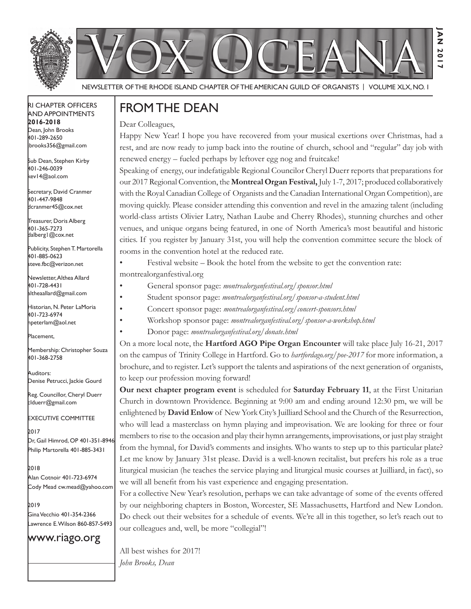



#### RI Chapter Officers and Appointments **2016-2018** Dean, John Brooks

401-289-2650 jbrooks356@gmail.com

Sub Dean, Stephen Kirby 401-246-0039 kev14@aol.com

Secretary, David Cranmer 401-447-9848 dcranmer45@cox.net

Treasurer, Doris Alberg 401-365-7273 dalberg1@cox.net I

Publicity, Stephen T. Martorella 401-885-0623 steve.fbc@verizon.net

Newsletter, Althea Allard 401-728-4431 altheaallard@gmail.com

Historian, N. Peter LaMoria 401-723-6974 npeterlam@aol.net

Placement,

Membership: Christopher Souza 401-368-2758

Auditors: Denise Petrucci, Jackie Gourd

Reg. Councillor, Cheryl Duerr clduerr@gmail.com

Executive Committee

2017 Dr, Gail Himrod, OP 401-351-8946 Philip Martorella 401-885-3431

2018 Alan Cotnoir 401-723-6974 Cody Mead cw.mead@yahoo.com

2019 Gina Vecchio 401-354-2366 Lawrence E. Wilson 860-857-5493

### www.riago.org

### From the Dean

Dear Colleagues,

Happy New Year! I hope you have recovered from your musical exertions over Christmas, had a rest, and are now ready to jump back into the routine of church, school and "regular" day job with renewed energy – fueled perhaps by leftover egg nog and fruitcake!

**Jan 2017**

2017

 $\bar{P}$ 

Speaking of energy, our indefatigable Regional Councilor Cheryl Duerr reports that preparations for our 2017 Regional Convention, the **Montreal Organ Festival,** July 1-7, 2017; produced collaboratively with the Royal Canadian College of Organists and the Canadian International Organ Competition), are moving quickly. Please consider attending this convention and revel in the amazing talent (including world-class artists Olivier Latry, Nathan Laube and Cherry Rhodes), stunning churches and other venues, and unique organs being featured, in one of North America's most beautiful and historic cities. If you register by January 31st, you will help the convention committee secure the block of rooms in the convention hotel at the reduced rate.

• Festival website – Book the hotel from the website to get the convention rate: montrealorganfestival.org

- General sponsor page: *montrealorganfestival.org*/sponsor.html
- Student sponsor page: montrealorganfestival.org/sponsor-a-student.html
- Concert sponsor page: *montrealorganfestival.org/concert-sponsors.html*
- • Workshop sponsor page: *montrealorganfestival.org/sponsor-a-workshop.html*
- • Donor page: *montrealorganfestival.org/donate.html*

On a more local note, the **Hartford AGO Pipe Organ Encounter** will take place July 16-21, 2017 on the campus of Trinity College in Hartford. Go to *hartfordago.org/poe-2017* for more information, a brochure, and to register. Let's support the talents and aspirations of the next generation of organists, to keep our profession moving forward!

**Our next chapter program event** is scheduled for **Saturday February 11**, at the First Unitarian Church in downtown Providence. Beginning at 9:00 am and ending around 12:30 pm, we will be enlightened by **David Enlow** of New York City's Juilliard School and the Church of the Resurrection, who will lead a masterclass on hymn playing and improvisation. We are looking for three or four members to rise to the occasion and play their hymn arrangements, improvisations, or just play straight from the hymnal, for David's comments and insights. Who wants to step up to this particular plate? Let me know by January 31st please. David is a well-known recitalist, but prefers his role as a true liturgical musician (he teaches the service playing and liturgical music courses at Juilliard, in fact), so we will all benefit from his vast experience and engaging presentation.

For a collective New Year's resolution, perhaps we can take advantage of some of the events offered by our neighboring chapters in Boston, Worcester, SE Massachusetts, Hartford and New London. Do check out their websites for a schedule of events. We're all in this together, so let's reach out to our colleagues and, well, be more "collegial"!

All best wishes for 2017! *John Brooks, Dean*